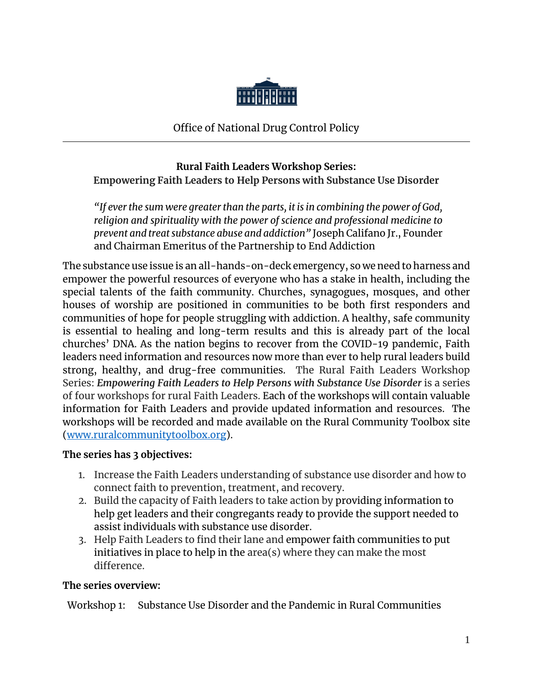

Office of National Drug Control Policy

# **Rural Faith Leaders Workshop Series: Empowering Faith Leaders to Help Persons with Substance Use Disorder**

*"If ever the sum were greater than the parts, it is in combining the power of God, religion and spirituality with the power of science and professional medicine to prevent and treat substance abuse and addiction"* Joseph Califano Jr., Founder and Chairman Emeritus of the Partnership to End Addiction

The substance use issue is an all-hands-on-deck emergency, so we need to harness and empower the powerful resources of everyone who has a stake in health, including the special talents of the faith community. Churches, synagogues, mosques, and other houses of worship are positioned in communities to be both first responders and communities of hope for people struggling with addiction. A healthy, safe community is essential to healing and long-term results and this is already part of the local churches' DNA. As the nation begins to recover from the COVID-19 pandemic, Faith leaders need information and resources now more than ever to help rural leaders build strong, healthy, and drug-free communities. The Rural Faith Leaders Workshop Series: *Empowering Faith Leaders to Help Persons with Substance Use Disorder* is a series of four workshops for rural Faith Leaders. Each of the workshops will contain valuable information for Faith Leaders and provide updated information and resources. The workshops will be recorded and made available on the Rural Community Toolbox site [\(www.ruralcommunitytoolbox.org\)](http://www.ruralcommunitytoolbox.org/).

## **The series has 3 objectives:**

- 1. Increase the Faith Leaders understanding of substance use disorder and how to connect faith to prevention, treatment, and recovery.
- 2. Build the capacity of Faith leaders to take action by providing information to help get leaders and their congregants ready to provide the support needed to assist individuals with substance use disorder.
- 3. Help Faith Leaders to find their lane and empower faith communities to put initiatives in place to help in the area(s) where they can make the most difference.

# **The series overview:**

Workshop 1: Substance Use Disorder and the Pandemic in Rural Communities